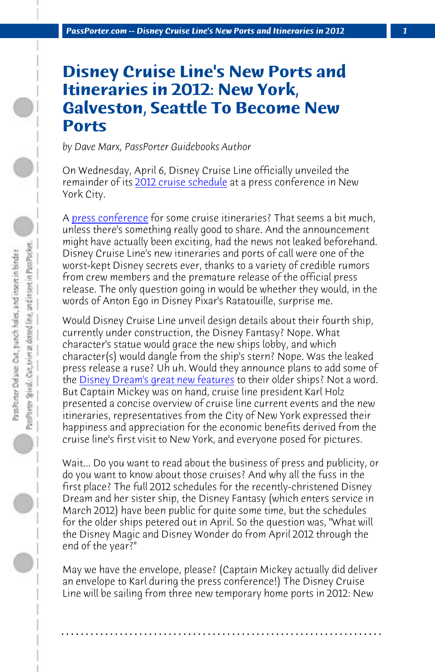**PassPorter.com -- Disney Cruise Line's New Ports and Itineraries in 2012** 

## **Disney Cruise Line's New Ports and Itineraries in 2012: New York, Galveston, Seattle To Become New Ports**

*by Dave Marx, PassPorter Guidebooks Author*

On Wednesday, April 6, Disney Cruise Line officially unveiled the re[mainder of its 2012 cruise schedule at](http://www.passporter.com/disney-cruises/disney-dream-cruise-ship-photos-videos.html) a press conference in New York City.

A press conference for some cruise itineraries? That seems a bit much, unless there's something really good to share. And the announcement might have actually been exciting, had the news not leaked beforehand. Disney Cruise Line's new itineraries and ports of call were one of the worst-kept Disney secrets ever, thanks to a variety of credible rumors from crew members and the premature release of the official press release. The only question going in would be whether they would, in the words of Anton Ego in Disney Pixar's Ratatouille, surprise me.

Would Disney Cruise Line unveil design details about their fourth ship, currently under construction, the Disney Fantasy? Nope. What character's statue would grace the new ships lobby, and which character(s) would dangle from the ship's stern? Nope. Was the leaked press release a ruse? Uh uh. Would they announce plans to add some of the Disney Dream's great new features to their older ships? Not a word. But Captain Mickey was on hand, cruise line president Karl Holz presented a concise overview of cruise line current events and the new itineraries, representatives from the City of New York expressed their happiness and appreciation for the economic benefits derived from the cruise line's first visit to New York, and everyone posed for pictures.

Wait... Do you want to read about the business of press and publicity, or do you want to know about those cruises? And why all the fuss in the first place? The full 2012 schedules for the recently-christened Disney Dream and her sister ship, the Disney Fantasy (which enters service in March 2012) have been public for quite some time, but the schedules for the older ships petered out in April. So the question was, "What will the Disney Magic and Disney Wonder do from April 2012 through the end of the year?"

May we have the envelope, please? (Captain Mickey actually did deliver an envelope to Karl during the press conference!) The Disney Cruise Line will be sailing from three new temporary home ports in 2012: New

**. . . . . . . . . . . . . . . . . . . . . . . . . . . . . . . . . . . . . . . . . . . . . . . . . . . . . . . . . . . . . . . . . .**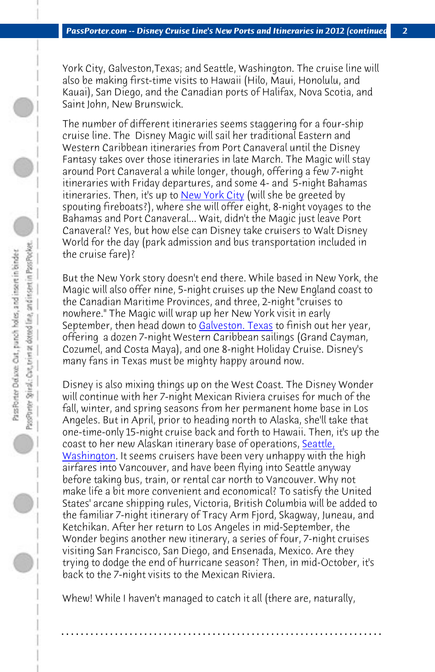*PassPorter.com -- Disney Cruise Line's New Ports and Itineraries in 2012 (continued) 2*

York City, Galveston,Texas; and Seattle, Washington. The cruise line will also be making first-time visits to Hawaii (Hilo, Maui, Honolulu, and Kauai), San Diego, and the Canadian ports of Halifax, Nova Scotia, and Saint John, New Brunswick.

The number of different itiner[aries seems stagg](http://www.passporterboards.com/forums/archive-globetrotting-general-travel-planning/40146-galveston-texas.html)ering for a four-ship cruise line. The Disney Magic will sail her traditional Eastern and Western Caribbean itineraries from Port Canaveral until the Disney Fantasy takes over those itineraries in late March. The Magic will stay around Port Canaveral a while longer, though, offering a few 7-night itineraries with Friday departures, and some 4- and 5-night Bahamas itineraries. Then, it's up to New York City (will she be greeted by spouting fireboats?), where she will offer eight, 8-night voyages to the Bahamas and Port Canaveral... Wait, didn't the Magic just leave Port Canaveral? Yes, but how else can Disney take cruisers to Walt Disney World for the day (park admission and bus transportat[ion inclu](http://www.passporter.com/articles/seattle-washington.php)ded in [the cruise fa](http://www.passporter.com/articles/seattle-washington.php)re)?

But the New York story doesn't end there. While based in New York, the Magic will also offer nine, 5-night cruises up the New England coast to the Canadian Maritime Provinces, and three, 2-night "cruises to nowhere." The Magic will wrap up her New York visit in early September, then head down to Galveston. Texas to finish out her year, offering a dozen 7-night Western Caribbean sailings (Grand Cayman, Cozumel, and Costa Maya), and one 8-night Holiday Cruise. Disney's many fans in Texas must be mighty happy around now.

Disney is also mixing things up on the West Coast. The Disney Wonder will continue with her 7-night Mexican Riviera cruises for much of the fall, winter, and spring seasons from her permanent home base in Los Angeles. But in April, prior to heading north to Alaska, she'll take that one-time-only 15-night cruise back and forth to Hawaii. Then, it's up the coast to her new Alaskan itinerary base of operations, Seattle, Washington. It seems cruisers have been very unhappy with the high airfares into Vancouver, and have been flying into Seattle anyway before taking bus, train, or rental car north to Vancouver. Why not make life a bit more convenient and economical? To satisfy the United States' arcane shipping rules, Victoria, British Columbia will be added to the familiar 7-night itinerary of Tracy Arm Fjord, Skagway, Juneau, and Ketchikan. After her return to Los Angeles in mid-September, the Wonder begins another new itinerary, a series of four, 7-night cruises visiting San Francisco, San Diego, and Ensenada, Mexico. Are they trying to dodge the end of hurricane season? Then, in mid-October, it's back to the 7-night visits to the Mexican Riviera.

Whew! While I haven't managed to catch it all (there are, naturally,

**. . . . . . . . . . . . . . . . . . . . . . . . . . . . . . . . . . . . . . . . . . . . . . . . . . . . . . . . . . . . . . . . . .**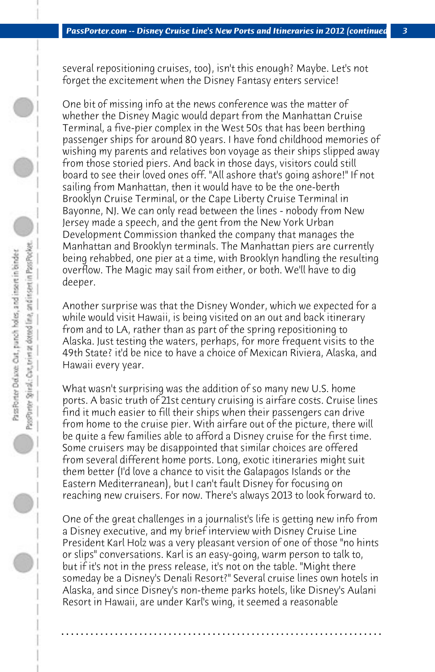several repositioning cruises, too), isn't this enough? Maybe. Let's not forget the excitement when the Disney Fantasy enters service!

One bit of missing info at the news conference was the matter of whether the Disney Magic would depart from the Manhattan Cruise Terminal, a five-pier complex in the West 50s that has been berthing passenger ships for around 80 years. I have fond childhood memories of wishing my parents and relatives bon voyage as their ships slipped away from those storied piers. And back in those days, visitors could still board to see their loved ones off. "All ashore that's going ashore!" If not sailing from Manhattan, then it would have to be the one-berth Brooklyn Cruise Terminal, or the Cape Liberty Cruise Terminal in Bayonne, NJ. We can only read between the lines - nobody from New Jersey made a speech, and the gent from the New York Urban Development Commission thanked the company that manages the Manhattan and Brooklyn terminals. The Manhattan piers are currently being rehabbed, one pier at a time, with Brooklyn handling the resulting overflow. The Magic may sail from either, or both. We'll have to dig deeper.

Another surprise was that the Disney Wonder, which we expected for a while would visit Hawaii, is being visited on an out and back itinerary from and to LA, rather than as part of the spring repositioning to Alaska. Just testing the waters, perhaps, for more frequent visits to the 49th State? it'd be nice to have a choice of Mexican Riviera, Alaska, and Hawaii every year.

What wasn't surprising was the addition of so many new U.S. home ports. A basic truth of 21st century cruising is airfare costs. Cruise lines find it much easier to fill their ships when their passengers can drive from home to the cruise pier. With airfare out of the picture, there will be quite a few families able to afford a Disney cruise for the first time. Some cruisers may be disappointed that similar choices are offered from several different home ports. Long, exotic itineraries might suit them better (I'd love a chance to visit the Galapagos Islands or the Eastern Mediterranean), but I can't fault Disney for focusing on reaching new cruisers. For now. There's always 2013 to look forward to.

One of the great challenges in a journalist's life is getting new info from a Disney executive, and my brief interview with Disney Cruise Line President Karl Holz was a very pleasant version of one of those "no hints or slips" conversations. Karl is an easy-going, warm person to talk to, but if it's not in the press release, it's not on the table. "Might there someday be a Disney's Denali Resort?" Several cruise lines own hotels in Alaska, and since Disney's non-theme parks hotels, like Disney's Aulani Resort in Hawaii, are under Karl's wing, it seemed a reasonable

**. . . . . . . . . . . . . . . . . . . . . . . . . . . . . . . . . . . . . . . . . . . . . . . . . . . . . . . . . . . . . . . . . .**